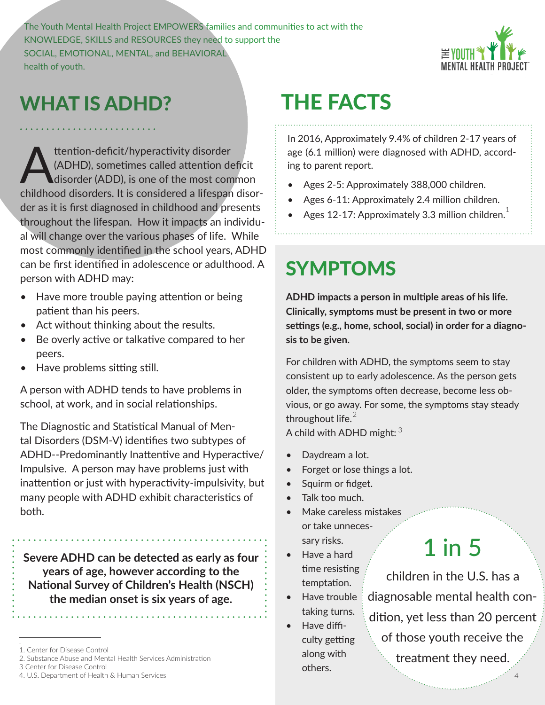The Youth Mental Health Project EMPOWERS families and communities to act with the KNOWLEDGE, SKILLS and RESOURCES they need to support the SOCIAL, EMOTIONAL, MENTAL, and BEHAVIORAL health of youth.



#### WHAT IS ADHD?

ttention-deficit/hyperactivity disorder<br>(ADHD), sometimes called attention de<br>disorder (ADD), is one of the most completed a lifernal (ADHD), sometimes called attention deficit disorder (ADD), is one of the most common childhood disorders. It is considered a lifespan disorder as it is first diagnosed in childhood and presents throughout the lifespan. How it impacts an individual will change over the various phases of life. While most commonly identified in the school years, ADHD can be first identified in adolescence or adulthood. A person with ADHD may:

- Have more trouble paying attention or being patient than his peers.
- Act without thinking about the results.
- Be overly active or talkative compared to her peers.
- Have problems sitting still.

A person with ADHD tends to have problems in school, at work, and in social relationships.

The Diagnostic and Statistical Manual of Mental Disorders (DSM-V) identifies two subtypes of ADHD--Predominantly Inattentive and Hyperactive/ Impulsive. A person may have problems just with inattention or just with hyperactivity-impulsivity, but many people with ADHD exhibit characteristics of both.

**Severe ADHD can be detected as early as four years of age, however according to the National Survey of Children's Health (NSCH) the median onset is six years of age.**

# THE FACTS

In 2016, Approximately 9.4% of children 2-17 years of age (6.1 million) were diagnosed with ADHD, according to parent report.

- Ages 2-5: Approximately 388,000 children.
- Ages 6-11: Approximately 2.4 million children.
- Ages 12-17: Approximately 3.3 million children. $^1$

### SYMPTOMS

**ADHD impacts a person in multiple areas of his life. Clinically, symptoms must be present in two or more settings (e.g., home, school, social) in order for a diagnosis to be given.** 

For children with ADHD, the symptoms seem to stay consistent up to early adolescence. As the person gets older, the symptoms often decrease, become less obvious, or go away. For some, the symptoms stay steady throughout life. $^2$ 

A child with ADHD might:  $^3$ 

- Daydream a lot.
- Forget or lose things a lot.
- Squirm or fidget.
- Talk too much.
- Make careless mistakes or take unnecessary risks.
- Have a hard time resisting temptation.
- Have trouble: taking turns.
- Have difficulty getting along with others.

# 1 in 5

children in the U.S. has a diagnosable mental health condition, yet less than 20 percent of those youth receive the treatment they need.

<sup>.</sup>  1. Center for Disease Control

<sup>2.</sup> Substance Abuse and Mental Health Services Administration

<sup>3</sup> Center for Disease Control

<sup>4.</sup> U.S. Department of Health & Human Services